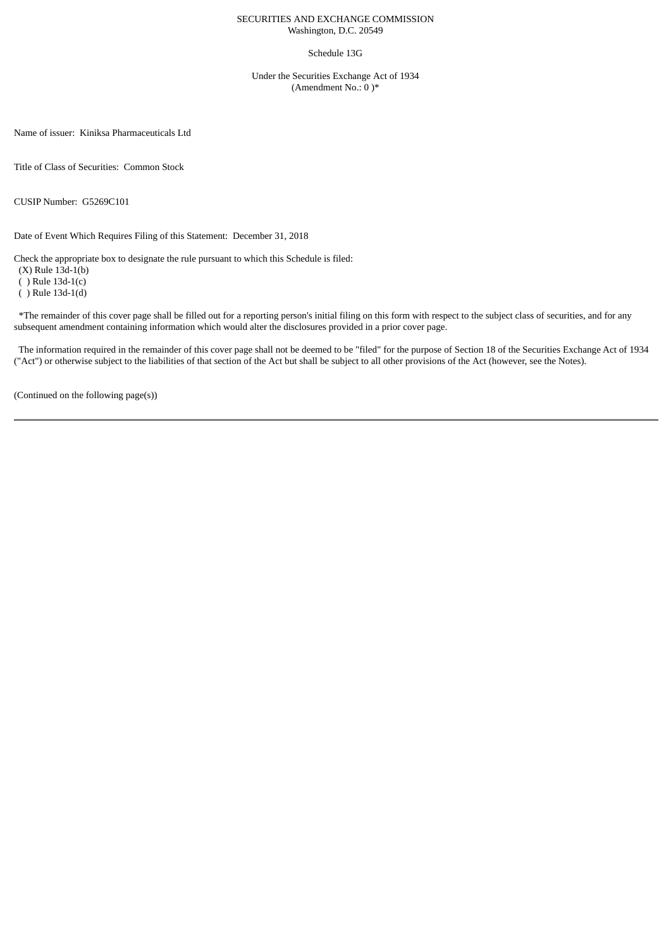## SECURITIES AND EXCHANGE COMMISSION Washington, D.C. 20549

## Schedule 13G

Under the Securities Exchange Act of 1934 (Amendment No.: 0 )\*

Name of issuer: Kiniksa Pharmaceuticals Ltd

Title of Class of Securities: Common Stock

CUSIP Number: G5269C101

Date of Event Which Requires Filing of this Statement: December 31, 2018

Check the appropriate box to designate the rule pursuant to which this Schedule is filed:

(X) Rule 13d-1(b)

( ) Rule 13d-1(c)

( ) Rule 13d-1(d)

\*The remainder of this cover page shall be filled out for a reporting person's initial filing on this form with respect to the subject class of securities, and for any subsequent amendment containing information which would alter the disclosures provided in a prior cover page.

The information required in the remainder of this cover page shall not be deemed to be "filed" for the purpose of Section 18 of the Securities Exchange Act of 1934 ("Act") or otherwise subject to the liabilities of that section of the Act but shall be subject to all other provisions of the Act (however, see the Notes).

(Continued on the following page(s))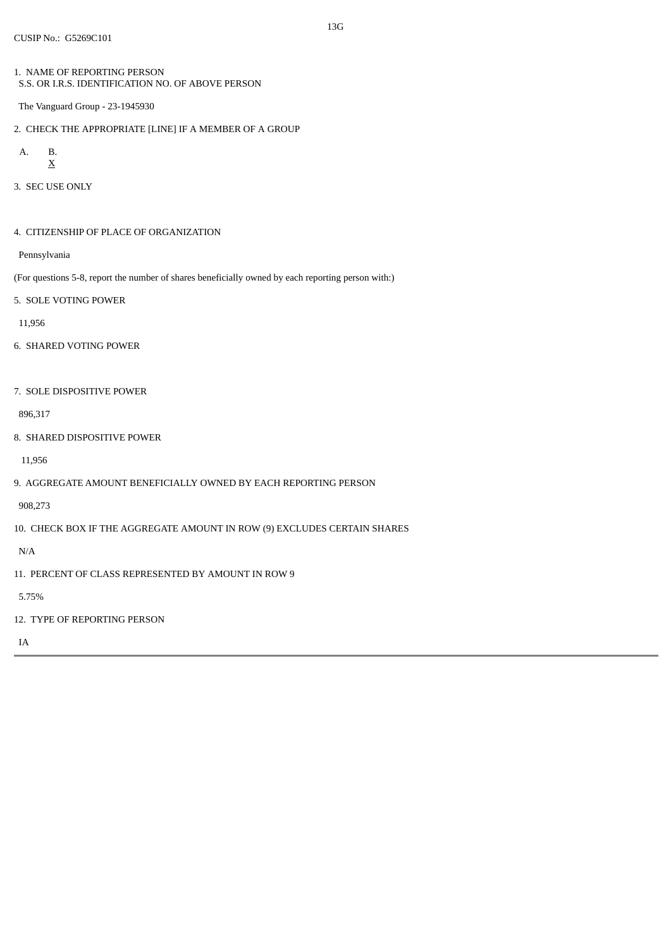- 1. NAME OF REPORTING PERSON S.S. OR I.R.S. IDENTIFICATION NO. OF ABOVE PERSON
- The Vanguard Group 23-1945930
- 2. CHECK THE APPROPRIATE [LINE] IF A MEMBER OF A GROUP

A. B. 
$$
\underline{X}
$$

3. SEC USE ONLY

4. CITIZENSHIP OF PLACE OF ORGANIZATION

Pennsylvania

- (For questions 5-8, report the number of shares beneficially owned by each reporting person with:)
- 5. SOLE VOTING POWER

11,956

- 6. SHARED VOTING POWER
- 7. SOLE DISPOSITIVE POWER

896,317

8. SHARED DISPOSITIVE POWER

11,956

9. AGGREGATE AMOUNT BENEFICIALLY OWNED BY EACH REPORTING PERSON

908,273

10. CHECK BOX IF THE AGGREGATE AMOUNT IN ROW (9) EXCLUDES CERTAIN SHARES

N/A

11. PERCENT OF CLASS REPRESENTED BY AMOUNT IN ROW 9

5.75%

12. TYPE OF REPORTING PERSON

IA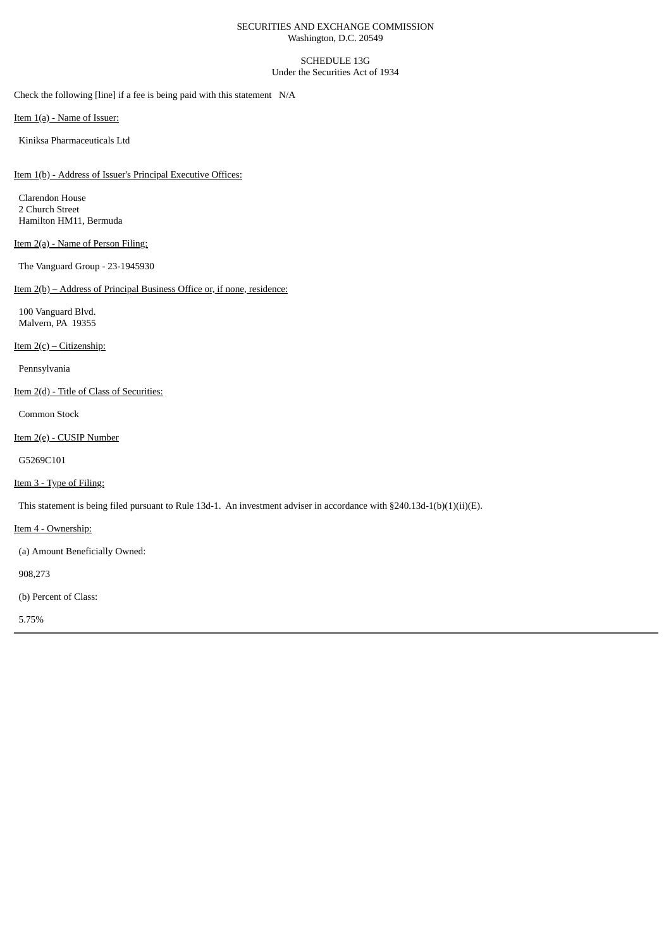## SECURITIES AND EXCHANGE COMMISSION Washington, D.C. 20549

SCHEDULE 13G Under the Securities Act of 1934

Check the following [line] if a fee is being paid with this statement N/A

Item 1(a) - Name of Issuer:

Kiniksa Pharmaceuticals Ltd

Item 1(b) - Address of Issuer's Principal Executive Offices:

Clarendon House 2 Church Street Hamilton HM11, Bermuda

# Item 2(a) - Name of Person Filing:

The Vanguard Group - 23-1945930

Item 2(b) – Address of Principal Business Office or, if none, residence:

100 Vanguard Blvd. Malvern, PA 19355

Item 2(c) – Citizenship:

Pennsylvania

Item 2(d) - Title of Class of Securities:

Common Stock

Item 2(e) - CUSIP Number

G5269C101

Item 3 - Type of Filing:

This statement is being filed pursuant to Rule 13d-1. An investment adviser in accordance with §240.13d-1(b)(1)(ii)(E).

Item 4 - Ownership:

(a) Amount Beneficially Owned:

908,273

(b) Percent of Class:

5.75%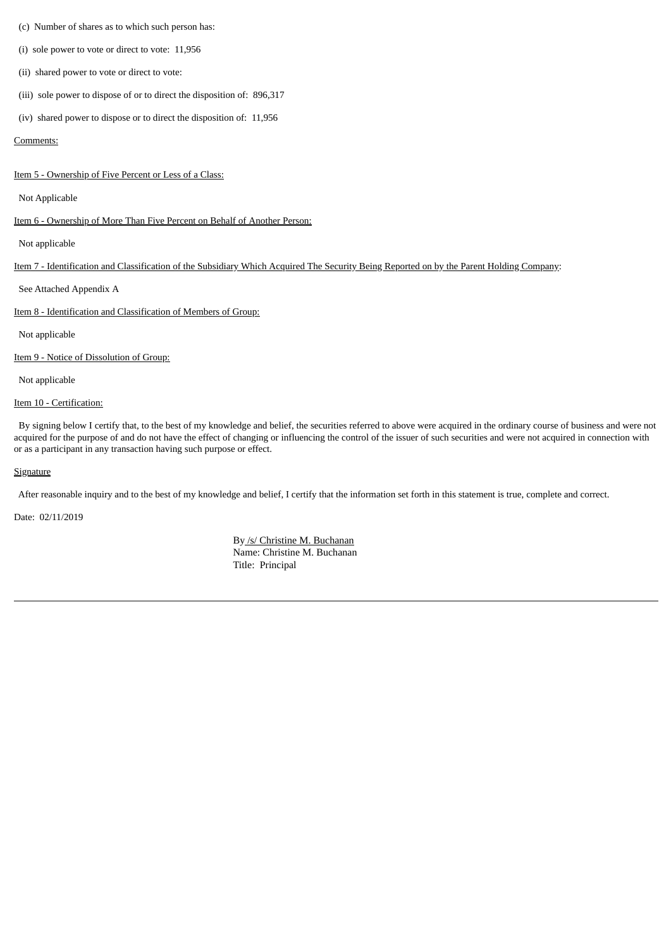#### (c) Number of shares as to which such person has:

(i) sole power to vote or direct to vote: 11,956

(ii) shared power to vote or direct to vote:

(iii) sole power to dispose of or to direct the disposition of: 896,317

(iv) shared power to dispose or to direct the disposition of: 11,956

#### Comments:

Item 5 - Ownership of Five Percent or Less of a Class:

Not Applicable

Item 6 - Ownership of More Than Five Percent on Behalf of Another Person:

Not applicable

Item 7 - Identification and Classification of the Subsidiary Which Acquired The Security Being Reported on by the Parent Holding Company:

See Attached Appendix A

Item 8 - Identification and Classification of Members of Group:

Not applicable

Item 9 - Notice of Dissolution of Group:

Not applicable

Item 10 - Certification:

By signing below I certify that, to the best of my knowledge and belief, the securities referred to above were acquired in the ordinary course of business and were not acquired for the purpose of and do not have the effect of changing or influencing the control of the issuer of such securities and were not acquired in connection with or as a participant in any transaction having such purpose or effect.

#### **Signature**

After reasonable inquiry and to the best of my knowledge and belief, I certify that the information set forth in this statement is true, complete and correct.

Date: 02/11/2019

By /s/ Christine M. Buchanan Name: Christine M. Buchanan Title: Principal